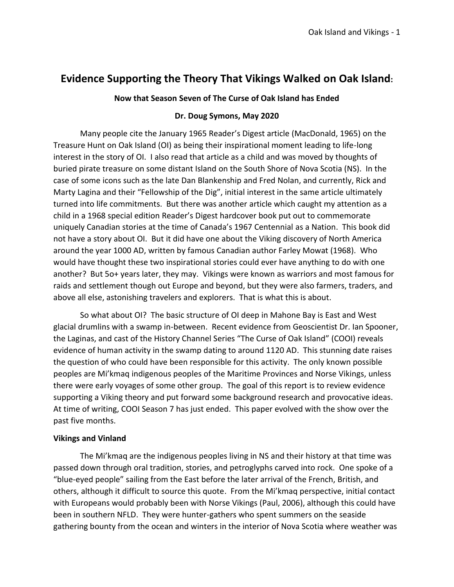# **Evidence Supporting the Theory That Vikings Walked on Oak Island:**

# **Now that Season Seven of The Curse of Oak Island has Ended**

## **Dr. Doug Symons, May 2020**

Many people cite the January 1965 Reader's Digest article (MacDonald, 1965) on the Treasure Hunt on Oak Island (OI) as being their inspirational moment leading to life-long interest in the story of OI. I also read that article as a child and was moved by thoughts of buried pirate treasure on some distant Island on the South Shore of Nova Scotia (NS). In the case of some icons such as the late Dan Blankenship and Fred Nolan, and currently, Rick and Marty Lagina and their "Fellowship of the Dig", initial interest in the same article ultimately turned into life commitments. But there was another article which caught my attention as a child in a 1968 special edition Reader's Digest hardcover book put out to commemorate uniquely Canadian stories at the time of Canada's 1967 Centennial as a Nation. This book did not have a story about OI. But it did have one about the Viking discovery of North America around the year 1000 AD, written by famous Canadian author Farley Mowat (1968). Who would have thought these two inspirational stories could ever have anything to do with one another? But 5o+ years later, they may. Vikings were known as warriors and most famous for raids and settlement though out Europe and beyond, but they were also farmers, traders, and above all else, astonishing travelers and explorers. That is what this is about.

So what about OI? The basic structure of OI deep in Mahone Bay is East and West glacial drumlins with a swamp in-between. Recent evidence from Geoscientist Dr. Ian Spooner, the Laginas, and cast of the History Channel Series "The Curse of Oak Island" (COOI) reveals evidence of human activity in the swamp dating to around 1120 AD. This stunning date raises the question of who could have been responsible for this activity. The only known possible peoples are Mi'kmaq indigenous peoples of the Maritime Provinces and Norse Vikings, unless there were early voyages of some other group. The goal of this report is to review evidence supporting a Viking theory and put forward some background research and provocative ideas. At time of writing, COOI Season 7 has just ended. This paper evolved with the show over the past five months.

# **Vikings and Vinland**

The Mi'kmaq are the indigenous peoples living in NS and their history at that time was passed down through oral tradition, stories, and petroglyphs carved into rock. One spoke of a "blue-eyed people" sailing from the East before the later arrival of the French, British, and others, although it difficult to source this quote. From the Mi'kmaq perspective, initial contact with Europeans would probably been with Norse Vikings (Paul, 2006), although this could have been in southern NFLD. They were hunter-gathers who spent summers on the seaside gathering bounty from the ocean and winters in the interior of Nova Scotia where weather was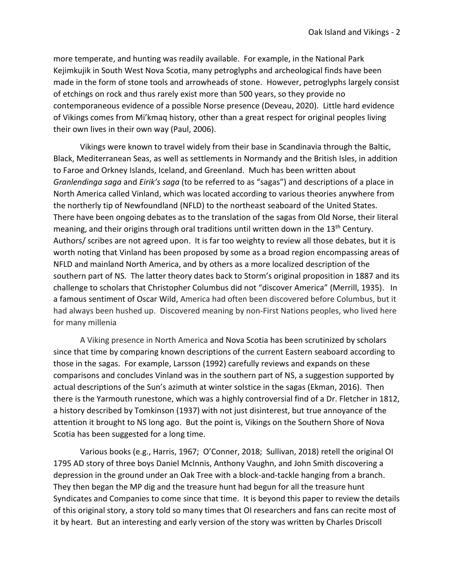more temperate, and hunting was readily available. For example, in the National Park Kejimkujik in South West Nova Scotia, many petroglyphs and archeological finds have been made in the form of stone tools and arrowheads of stone. However, petroglyphs largely consist of etchings on rock and thus rarely exist more than 500 years, so they provide no contemporaneous evidence of a possible Norse presence (Deveau, 2020). Little hard evidence of Vikings comes from Mi'kmaq history, other than a great respect for original peoples living their own lives in their own way (Paul, 2006).

Vikings were known to travel widely from their base in Scandinavia through the Baltic, Black, Mediterranean Seas, as well as settlements in Normandy and the British Isles, in addition to Faroe and Orkney Islands, Iceland, and Greenland. Much has been written about *Granlendinga saga* and *Eirik's saga* (to be referred to as "sagas") and descriptions of a place in North America called Vinland, which was located according to various theories anywhere from the northerly tip of Newfoundland (NFLD) to the northeast seaboard of the United States. There have been ongoing debates as to the translation of the sagas from Old Norse, their literal meaning, and their origins through oral traditions until written down in the 13<sup>th</sup> Century. Authors/ scribes are not agreed upon. It is far too weighty to review all those debates, but it is worth noting that Vinland has been proposed by some as a broad region encompassing areas of NFLD and mainland North America, and by others as a more localized description of the southern part of NS. The latter theory dates back to Storm's original proposition in 1887 and its challenge to scholars that Christopher Columbus did not "discover America" (Merrill, 1935). In a famous sentiment of Oscar Wild, America had often been discovered before Columbus, but it had always been hushed up. Discovered meaning by non-First Nations peoples, who lived here for many millenia

A Viking presence in North America and Nova Scotia has been scrutinized by scholars since that time by comparing known descriptions of the current Eastern seaboard according to those in the sagas. For example, Larsson (1992) carefully reviews and expands on these comparisons and concludes Vinland was in the southern part of NS, a suggestion supported by actual descriptions of the Sun's azimuth at winter solstice in the sagas (Ekman, 2016). Then there is the Yarmouth runestone, which was a highly controversial find of a Dr. Fletcher in 1812, a history described by Tomkinson (1937) with not just disinterest, but true annoyance of the attention it brought to NS long ago. But the point is, Vikings on the Southern Shore of Nova Scotia has been suggested for a long time.

Various books (e.g., Harris, 1967; O'Conner, 2018; Sullivan, 2018) retell the original OI 1795 AD story of three boys Daniel McInnis, Anthony Vaughn, and John Smith discovering a depression in the ground under an Oak Tree with a block-and-tackle hanging from a branch. They then began the MP dig and the treasure hunt had begun for all the treasure hunt Syndicates and Companies to come since that time. It is beyond this paper to review the details of this original story, a story told so many times that OI researchers and fans can recite most of it by heart. But an interesting and early version of the story was written by Charles Driscoll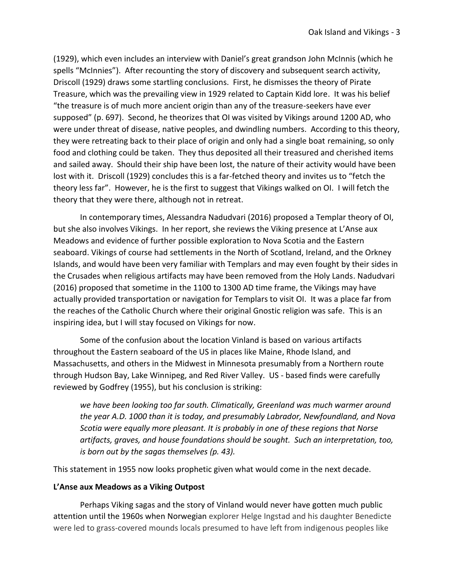(1929), which even includes an interview with Daniel's great grandson John McInnis (which he spells "McInnies"). After recounting the story of discovery and subsequent search activity, Driscoll (1929) draws some startling conclusions. First, he dismisses the theory of Pirate Treasure, which was the prevailing view in 1929 related to Captain Kidd lore. It was his belief "the treasure is of much more ancient origin than any of the treasure-seekers have ever supposed" (p. 697). Second, he theorizes that OI was visited by Vikings around 1200 AD, who were under threat of disease, native peoples, and dwindling numbers. According to this theory, they were retreating back to their place of origin and only had a single boat remaining, so only food and clothing could be taken. They thus deposited all their treasured and cherished items and sailed away. Should their ship have been lost, the nature of their activity would have been lost with it. Driscoll (1929) concludes this is a far-fetched theory and invites us to "fetch the theory less far". However, he is the first to suggest that Vikings walked on OI. I will fetch the theory that they were there, although not in retreat.

In contemporary times, Alessandra Nadudvari (2016) proposed a Templar theory of OI, but she also involves Vikings. In her report, she reviews the Viking presence at L'Anse aux Meadows and evidence of further possible exploration to Nova Scotia and the Eastern seaboard. Vikings of course had settlements in the North of Scotland, Ireland, and the Orkney Islands, and would have been very familiar with Templars and may even fought by their sides in the Crusades when religious artifacts may have been removed from the Holy Lands. Nadudvari (2016) proposed that sometime in the 1100 to 1300 AD time frame, the Vikings may have actually provided transportation or navigation for Templars to visit OI. It was a place far from the reaches of the Catholic Church where their original Gnostic religion was safe. This is an inspiring idea, but I will stay focused on Vikings for now.

Some of the confusion about the location Vinland is based on various artifacts throughout the Eastern seaboard of the US in places like Maine, Rhode Island, and Massachusetts, and others in the Midwest in Minnesota presumably from a Northern route through Hudson Bay, Lake Winnipeg, and Red River Valley. US - based finds were carefully reviewed by Godfrey (1955), but his conclusion is striking:

*we have been looking too far south. Climatically, Greenland was much warmer around the year A.D. 1000 than it is today, and presumably Labrador, Newfoundland, and Nova Scotia were equally more pleasant. It is probably in one of these regions that Norse artifacts, graves, and house foundations should be sought. Such an interpretation, too, is born out by the sagas themselves (p. 43).* 

This statement in 1955 now looks prophetic given what would come in the next decade.

## **L'Anse aux Meadows as a Viking Outpost**

Perhaps Viking sagas and the story of Vinland would never have gotten much public attention until the 1960s when [Norwegian](https://www.thecanadianencyclopedia.ca/en/article/norwegians/) explorer Helge Ingstad and his daughter Benedicte were led to grass-covered mounds locals presumed to have left from indigenous peoples like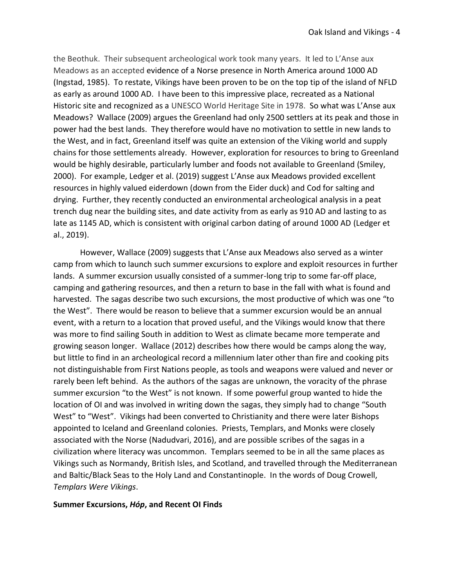the Beothuk. Their subsequent archeological work took many years. It led to L'Anse aux Meadows as an accepted evidence of a Norse presence in North America around 1000 AD (Ingstad, 1985). To restate, Vikings have been proven to be on the top tip of the island of NFLD as early as around 1000 AD. I have been to this impressive place, recreated as a National Historic site and recognized as a UNESCO World Heritage Site in 1978. So what was L'Anse aux Meadows? Wallace (2009) argues the Greenland had only 2500 settlers at its peak and those in power had the best lands. They therefore would have no motivation to settle in new lands to the West, and in fact, Greenland itself was quite an extension of the Viking world and supply chains for those settlements already. However, exploration for resources to bring to Greenland would be highly desirable, particularly lumber and foods not available to Greenland (Smiley, 2000). For example, Ledger et al. (2019) suggest L'Anse aux Meadows provided excellent resources in highly valued eiderdown (down from the Eider duck) and Cod for salting and drying. Further, they recently conducted an environmental archeological analysis in a peat trench dug near the building sites, and date activity from as early as 910 AD and lasting to as late as 1145 AD, which is consistent with original carbon dating of around 1000 AD (Ledger et al., 2019).

However, Wallace (2009) suggests that L'Anse aux Meadows also served as a winter camp from which to launch such summer excursions to explore and exploit resources in further lands. A summer excursion usually consisted of a summer-long trip to some far-off place, camping and gathering resources, and then a return to base in the fall with what is found and harvested. The sagas describe two such excursions, the most productive of which was one "to the West". There would be reason to believe that a summer excursion would be an annual event, with a return to a location that proved useful, and the Vikings would know that there was more to find sailing South in addition to West as climate became more temperate and growing season longer. Wallace (2012) describes how there would be camps along the way, but little to find in an archeological record a millennium later other than fire and cooking pits not distinguishable from First Nations people, as tools and weapons were valued and never or rarely been left behind. As the authors of the sagas are unknown, the voracity of the phrase summer excursion "to the West" is not known. If some powerful group wanted to hide the location of OI and was involved in writing down the sagas, they simply had to change "South West" to "West". Vikings had been converted to Christianity and there were later Bishops appointed to Iceland and Greenland colonies. Priests, Templars, and Monks were closely associated with the Norse (Nadudvari, 2016), and are possible scribes of the sagas in a civilization where literacy was uncommon. Templars seemed to be in all the same places as Vikings such as Normandy, British Isles, and Scotland, and travelled through the Mediterranean and Baltic/Black Seas to the Holy Land and Constantinople. In the words of Doug Crowell, *Templars Were Vikings*.

#### **Summer Excursions,** *Hóp***, and Recent OI Finds**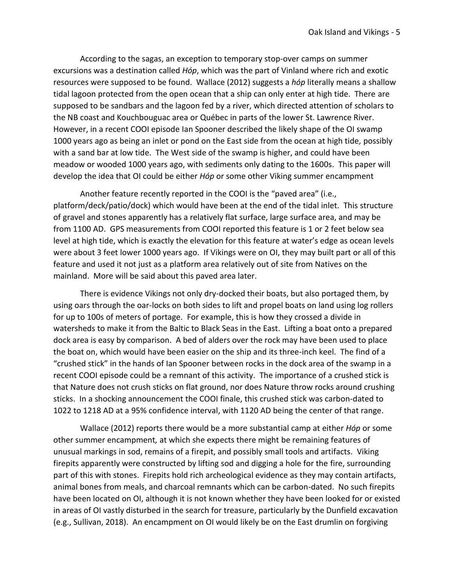According to the sagas, an exception to temporary stop-over camps on summer excursions was a destination called *Hóp*, which was the part of Vinland where rich and exotic resources were supposed to be found. Wallace (2012) suggests a *hóp* literally means a shallow tidal lagoon protected from the open ocean that a ship can only enter at high tide. There are supposed to be sandbars and the lagoon fed by a river, which directed attention of scholars to the NB coast and Kouchbouguac area or Québec in parts of the lower St. Lawrence River. However, in a recent COOI episode Ian Spooner described the likely shape of the OI swamp 1000 years ago as being an inlet or pond on the East side from the ocean at high tide, possibly with a sand bar at low tide. The West side of the swamp is higher, and could have been meadow or wooded 1000 years ago, with sediments only dating to the 1600s. This paper will develop the idea that OI could be either *Hóp* or some other Viking summer encampment

Another feature recently reported in the COOI is the "paved area" (i.e., platform/deck/patio/dock) which would have been at the end of the tidal inlet. This structure of gravel and stones apparently has a relatively flat surface, large surface area, and may be from 1100 AD. GPS measurements from COOI reported this feature is 1 or 2 feet below sea level at high tide, which is exactly the elevation for this feature at water's edge as ocean levels were about 3 feet lower 1000 years ago. If Vikings were on OI, they may built part or all of this feature and used it not just as a platform area relatively out of site from Natives on the mainland. More will be said about this paved area later.

There is evidence Vikings not only dry-docked their boats, but also portaged them, by using oars through the oar-locks on both sides to lift and propel boats on land using log rollers for up to 100s of meters of portage. For example, this is how they crossed a divide in watersheds to make it from the Baltic to Black Seas in the East. Lifting a boat onto a prepared dock area is easy by comparison. A bed of alders over the rock may have been used to place the boat on, which would have been easier on the ship and its three-inch keel. The find of a "crushed stick" in the hands of Ian Spooner between rocks in the dock area of the swamp in a recent COOI episode could be a remnant of this activity. The importance of a crushed stick is that Nature does not crush sticks on flat ground, nor does Nature throw rocks around crushing sticks. In a shocking announcement the COOI finale, this crushed stick was carbon-dated to 1022 to 1218 AD at a 95% confidence interval, with 1120 AD being the center of that range.

Wallace (2012) reports there would be a more substantial camp at either *Hóp* or some other summer encampment*,* at which she expects there might be remaining features of unusual markings in sod, remains of a firepit, and possibly small tools and artifacts. Viking firepits apparently were constructed by lifting sod and digging a hole for the fire, surrounding part of this with stones. Firepits hold rich archeological evidence as they may contain artifacts, animal bones from meals, and charcoal remnants which can be carbon-dated. No such firepits have been located on OI, although it is not known whether they have been looked for or existed in areas of OI vastly disturbed in the search for treasure, particularly by the Dunfield excavation (e.g., Sullivan, 2018). An encampment on OI would likely be on the East drumlin on forgiving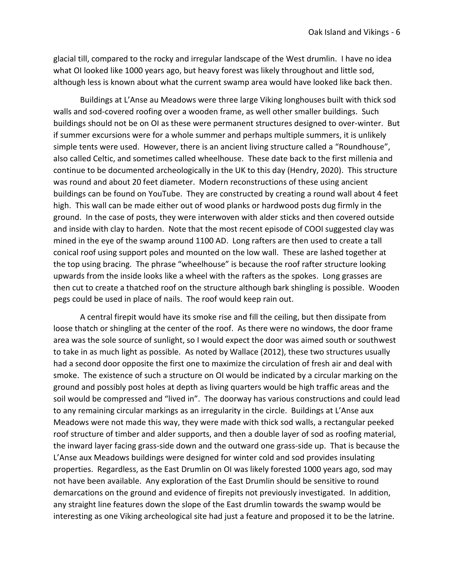glacial till, compared to the rocky and irregular landscape of the West drumlin. I have no idea what OI looked like 1000 years ago, but heavy forest was likely throughout and little sod, although less is known about what the current swamp area would have looked like back then.

Buildings at L'Anse au Meadows were three large Viking longhouses built with thick sod walls and sod-covered roofing over a wooden frame, as well other smaller buildings. Such buildings should not be on OI as these were permanent structures designed to over-winter. But if summer excursions were for a whole summer and perhaps multiple summers, it is unlikely simple tents were used. However, there is an ancient living structure called a "Roundhouse", also called Celtic, and sometimes called wheelhouse. These date back to the first millenia and continue to be documented archeologically in the UK to this day (Hendry, 2020). This structure was round and about 20 feet diameter. Modern reconstructions of these using ancient buildings can be found on YouTube. They are constructed by creating a round wall about 4 feet high. This wall can be made either out of wood planks or hardwood posts dug firmly in the ground. In the case of posts, they were interwoven with alder sticks and then covered outside and inside with clay to harden. Note that the most recent episode of COOI suggested clay was mined in the eye of the swamp around 1100 AD. Long rafters are then used to create a tall conical roof using support poles and mounted on the low wall. These are lashed together at the top using bracing. The phrase "wheelhouse" is because the roof rafter structure looking upwards from the inside looks like a wheel with the rafters as the spokes. Long grasses are then cut to create a thatched roof on the structure although bark shingling is possible. Wooden pegs could be used in place of nails. The roof would keep rain out.

A central firepit would have its smoke rise and fill the ceiling, but then dissipate from loose thatch or shingling at the center of the roof. As there were no windows, the door frame area was the sole source of sunlight, so I would expect the door was aimed south or southwest to take in as much light as possible. As noted by Wallace (2012), these two structures usually had a second door opposite the first one to maximize the circulation of fresh air and deal with smoke. The existence of such a structure on OI would be indicated by a circular marking on the ground and possibly post holes at depth as living quarters would be high traffic areas and the soil would be compressed and "lived in". The doorway has various constructions and could lead to any remaining circular markings as an irregularity in the circle. Buildings at L'Anse aux Meadows were not made this way, they were made with thick sod walls, a rectangular peeked roof structure of timber and alder supports, and then a double layer of sod as roofing material, the inward layer facing grass-side down and the outward one grass-side up. That is because the L'Anse aux Meadows buildings were designed for winter cold and sod provides insulating properties. Regardless, as the East Drumlin on OI was likely forested 1000 years ago, sod may not have been available. Any exploration of the East Drumlin should be sensitive to round demarcations on the ground and evidence of firepits not previously investigated. In addition, any straight line features down the slope of the East drumlin towards the swamp would be interesting as one Viking archeological site had just a feature and proposed it to be the latrine.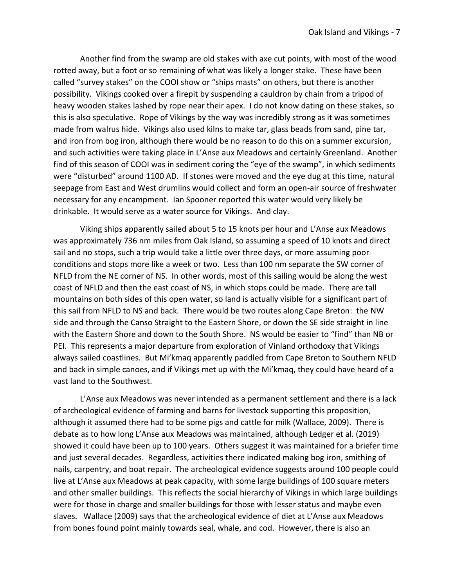Another find from the swamp are old stakes with axe cut points, with most of the wood rotted away, but a foot or so remaining of what was likely a longer stake. These have been called "survey stakes" on the COOI show or "ships masts" on others, but there is another possibility. Vikings cooked over a firepit by suspending a cauldron by chain from a tripod of heavy wooden stakes lashed by rope near their apex. I do not know dating on these stakes, so this is also speculative. Rope of Vikings by the way was incredibly strong as it was sometimes made from walrus hide. Vikings also used kilns to make tar, glass beads from sand, pine tar, and iron from bog iron, although there would be no reason to do this on a summer excursion, and such activities were taking place in L'Anse aux Meadows and certainly Greenland. Another find of this season of COOI was in sediment coring the "eye of the swamp", in which sediments were "disturbed" around 1100 AD. If stones were moved and the eye dug at this time, natural seepage from East and West drumlins would collect and form an open-air source of freshwater necessary for any encampment. Ian Spooner reported this water would very likely be drinkable. It would serve as a water source for Vikings. And clay.

Viking ships apparently sailed about 5 to 15 knots per hour and L'Anse aux Meadows was approximately 736 nm miles from Oak Island, so assuming a speed of 10 knots and direct sail and no stops, such a trip would take a little over three days, or more assuming poor conditions and stops more like a week or two. Less than 100 nm separate the SW corner of NFLD from the NE corner of NS. In other words, most of this sailing would be along the west coast of NFLD and then the east coast of NS, in which stops could be made. There are tall mountains on both sides of this open water, so land is actually visible for a significant part of this sail from NFLD to NS and back. There would be two routes along Cape Breton: the NW side and through the Canso Straight to the Eastern Shore, or down the SE side straight in line with the Eastern Shore and down to the South Shore. NS would be easier to "find" than NB or PEI. This represents a major departure from exploration of Vinland orthodoxy that Vikings always sailed coastlines. But Mi'kmaq apparently paddled from Cape Breton to Southern NFLD and back in simple canoes, and if Vikings met up with the Mi'kmaq, they could have heard of a vast land to the Southwest.

L'Anse aux Meadows was never intended as a permanent settlement and there is a lack of archeological evidence of farming and barns for livestock supporting this proposition, although it assumed there had to be some pigs and cattle for milk (Wallace, 2009). There is debate as to how long L'Anse aux Meadows was maintained, although Ledger et al. (2019) showed it could have been up to 100 years. Others suggest it was maintained for a briefer time and just several decades. Regardless, activities there indicated making bog iron, smithing of nails, carpentry, and boat repair. The archeological evidence suggests around 100 people could live at L'Anse aux Meadows at peak capacity, with some large buildings of 100 square meters and other smaller buildings. This reflects the social hierarchy of Vikings in which large buildings were for those in charge and smaller buildings for those with lesser status and maybe even slaves. Wallace (2009) says that the archeological evidence of diet at L'Anse aux Meadows from bones found point mainly towards seal, whale, and cod. However, there is also an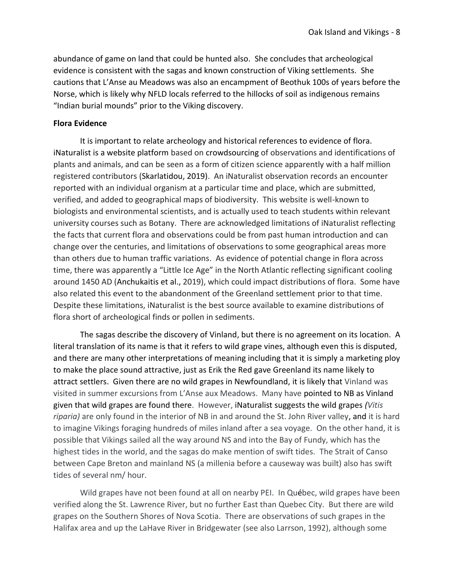abundance of game on land that could be hunted also. She concludes that archeological evidence is consistent with the sagas and known construction of Viking settlements. She cautions that L'Anse au Meadows was also an encampment of Beothuk 100s of years before the Norse, which is likely why NFLD locals referred to the hillocks of soil as indigenous remains "Indian burial mounds" prior to the Viking discovery.

## **Flora Evidence**

It is important to relate archeology and historical references to evidence of flora. iNaturalist is a website platform based on [crowdsourcing](https://en.wikipedia.org/wiki/Crowdsourcing) of observations and identifications of plants and animals, and can be seen as a form of citizen science apparently with a half million registered contributors (Skarlatidou, 2019). An iNaturalist observation records an encounter reported with an individual organism at a particular time and place, which are submitted, verified, and added to geographical maps of biodiversity. This website is well-known to biologists and environmental scientists, and is actually used to teach students within relevant university courses such as Botany. There are acknowledged limitations of iNaturalist reflecting the facts that current flora and observations could be from past human introduction and can change over the centuries, and limitations of observations to some geographical areas more than others due to human traffic variations. As evidence of potential change in flora across time, there was apparently a "Little Ice Age" in the North Atlantic reflecting significant cooling around 1450 AD (Anchukaitis et al., 2019), which could impact distributions of flora. Some have also related this event to the abandonment of the Greenland settlement prior to that time. Despite these limitations, iNaturalist is the best source available to examine distributions of flora short of archeological finds or pollen in sediments.

The sagas describe the discovery of Vinland, but there is no agreement on its location. A literal translation of its name is that it refers to wild grape vines, although even this is disputed, and there are many other interpretations of meaning including that it is simply a marketing ploy to make the place sound attractive, just as Erik the Red gave Greenland its name likely to attract settlers. Given there are no wild grapes in Newfoundland, it is likely that Vinland was visited in summer excursions from L'Anse aux Meadows. Many have pointed to NB as Vinland given that wild grapes are found there. However, iNaturalist suggests the wild grapes *(Vitis riparia)* are only found in the interior of NB in and around the St. John River valley, and it is hard to imagine Vikings foraging hundreds of miles inland after a sea voyage. On the other hand, it is possible that Vikings sailed all the way around NS and into the Bay of Fundy, which has the highest tides in the world, and the sagas do make mention of swift tides. The Strait of Canso between Cape Breton and mainland NS (a millenia before a causeway was built) also has swift tides of several nm/ hour.

Wild grapes have not been found at all on nearby PEI. In Québec, wild grapes have been verified along the St. Lawrence River, but no further East than Quebec City. But there are wild grapes on the Southern Shores of Nova Scotia. There are observations of such grapes in the Halifax area and up the LaHave River in Bridgewater (see also Larrson, 1992), although some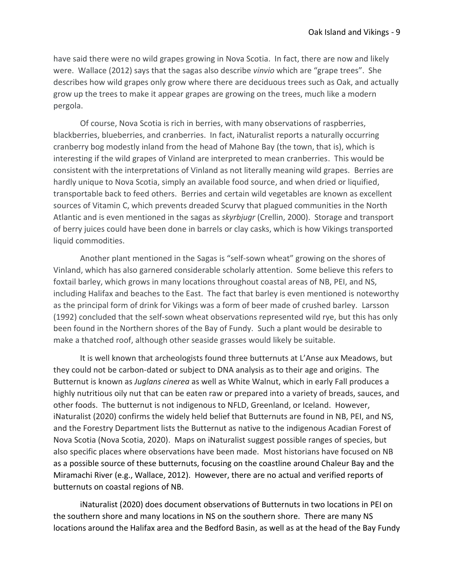have said there were no wild grapes growing in Nova Scotia. In fact, there are now and likely were. Wallace (2012) says that the sagas also describe *vinvio* which are "grape trees". She describes how wild grapes only grow where there are deciduous trees such as Oak, and actually grow up the trees to make it appear grapes are growing on the trees, much like a modern pergola.

Of course, Nova Scotia is rich in berries, with many observations of raspberries, blackberries, blueberries, and cranberries. In fact, iNaturalist reports a naturally occurring cranberry bog modestly inland from the head of Mahone Bay (the town, that is), which is interesting if the wild grapes of Vinland are interpreted to mean cranberries. This would be consistent with the interpretations of Vinland as not literally meaning wild grapes. Berries are hardly unique to Nova Scotia, simply an available food source, and when dried or liquified, transportable back to feed others. Berries and certain wild vegetables are known as excellent sources of Vitamin C, which prevents dreaded Scurvy that plagued communities in the North Atlantic and is even mentioned in the sagas as *skyrbjugr* (Crellin, 2000). Storage and transport of berry juices could have been done in barrels or clay casks, which is how Vikings transported liquid commodities.

Another plant mentioned in the Sagas is "self-sown wheat" growing on the shores of Vinland, which has also garnered considerable scholarly attention. Some believe this refers to foxtail barley, which grows in many locations throughout coastal areas of NB, PEI, and NS, including Halifax and beaches to the East. The fact that barley is even mentioned is noteworthy as the principal form of drink for Vikings was a form of beer made of crushed barley. Larsson (1992) concluded that the self-sown wheat observations represented wild rye, but this has only been found in the Northern shores of the Bay of Fundy. Such a plant would be desirable to make a thatched roof, although other seaside grasses would likely be suitable.

It is well known that archeologists found three butternuts at L'Anse aux Meadows, but they could not be carbon-dated or subject to DNA analysis as to their age and origins. The Butternut is known as *Juglans cinerea* as well as White Walnut, which in early Fall produces a highly nutritious oily nut that can be eaten raw or prepared into a variety of breads, sauces, and other foods. The butternut is not indigenous to NFLD, Greenland, or Iceland. However, iNaturalist (2020) confirms the widely held belief that Butternuts are found in NB, PEI, and NS, and the Forestry Department lists the Butternut as native to the indigenous Acadian Forest of Nova Scotia (Nova Scotia, 2020). Maps on iNaturalist suggest possible ranges of species, but also specific places where observations have been made. Most historians have focused on NB as a possible source of these butternuts, focusing on the coastline around Chaleur Bay and the Miramachi River (e.g., Wallace, 2012). However, there are no actual and verified reports of butternuts on coastal regions of NB.

iNaturalist (2020) does document observations of Butternuts in two locations in PEI on the southern shore and many locations in NS on the southern shore. There are many NS locations around the Halifax area and the Bedford Basin, as well as at the head of the Bay Fundy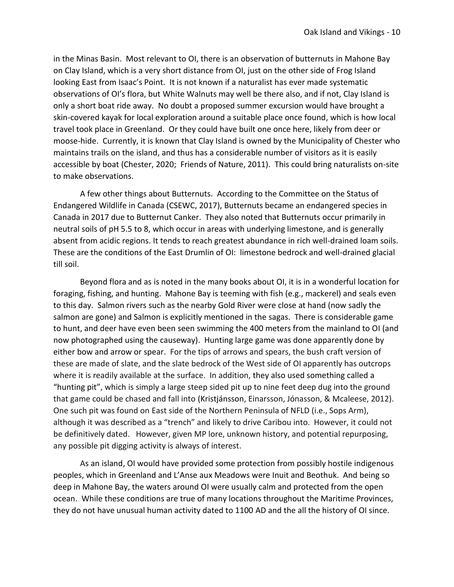in the Minas Basin. Most relevant to OI, there is an observation of butternuts in Mahone Bay on Clay Island, which is a very short distance from OI, just on the other side of Frog Island looking East from Isaac's Point. It is not known if a naturalist has ever made systematic observations of OI's flora, but White Walnuts may well be there also, and if not, Clay Island is only a short boat ride away. No doubt a proposed summer excursion would have brought a skin-covered kayak for local exploration around a suitable place once found, which is how local travel took place in Greenland. Or they could have built one once here, likely from deer or moose-hide. Currently, it is known that Clay Island is owned by the Municipality of Chester who maintains trails on the island, and thus has a considerable number of visitors as it is easily accessible by boat (Chester, 2020; Friends of Nature, 2011). This could bring naturalists on-site to make observations.

A few other things about Butternuts. According to the Committee on the Status of Endangered Wildlife in Canada (CSEWC, 2017), Butternuts became an endangered species in Canada in 2017 due to Butternut Canker. They also noted that Butternuts occur primarily in neutral soils of pH 5.5 to 8, which occur in areas with underlying limestone, and is generally absent from acidic regions. It tends to reach greatest abundance in rich well-drained loam soils. These are the conditions of the East Drumlin of OI: limestone bedrock and well-drained glacial till soil.

Beyond flora and as is noted in the many books about OI, it is in a wonderful location for foraging, fishing, and hunting. Mahone Bay is teeming with fish (e.g., mackerel) and seals even to this day. Salmon rivers such as the nearby Gold River were close at hand (now sadly the salmon are gone) and Salmon is explicitly mentioned in the sagas. There is considerable game to hunt, and deer have even been seen swimming the 400 meters from the mainland to OI (and now photographed using the causeway). Hunting large game was done apparently done by either bow and arrow or spear. For the tips of arrows and spears, the bush craft version of these are made of slate, and the slate bedrock of the West side of OI apparently has outcrops where it is readily available at the surface. In addition, they also used something called a "hunting pit", which is simply a large steep sided pit up to nine feet deep dug into the ground that game could be chased and fall into (Kristjánsson, Einarsson, Jónasson, & Mcaleese, 2012). One such pit was found on East side of the Northern Peninsula of NFLD (i.e., Sops Arm), although it was described as a "trench" and likely to drive Caribou into. However, it could not be definitively dated. However, given MP lore, unknown history, and potential repurposing, any possible pit digging activity is always of interest.

As an island, OI would have provided some protection from possibly hostile indigenous peoples, which in Greenland and L'Anse aux Meadows were Inuit and Beothuk. And being so deep in Mahone Bay, the waters around OI were usually calm and protected from the open ocean. While these conditions are true of many locations throughout the Maritime Provinces, they do not have unusual human activity dated to 1100 AD and the all the history of OI since.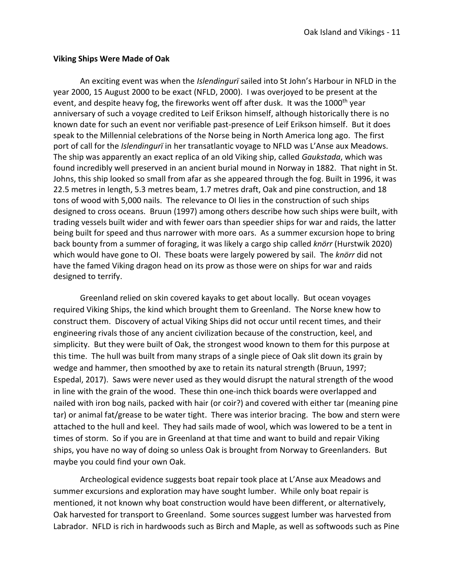#### **Viking Ships Were Made of Oak**

An exciting event was when the *Islendingurï* sailed into St John's Harbour in NFLD in the year 2000, 15 August 2000 to be exact (NFLD, 2000). I was overjoyed to be present at the event, and despite heavy fog, the fireworks went off after dusk. It was the 1000<sup>th</sup> year anniversary of such a voyage credited to Leif Erikson himself, although historically there is no known date for such an event nor verifiable past-presence of Leif Erikson himself. But it does speak to the Millennial celebrations of the Norse being in North America long ago. The first port of call for the *Islendingurï* in her transatlantic voyage to NFLD was L'Anse aux Meadows. The ship was apparently an exact replica of an old Viking ship, called *Gaukstada*, which was found incredibly well preserved in an ancient burial mound in Norway in 1882. That night in St. Johns, this ship looked so small from afar as she appeared through the fog. Built in 1996, it was 22.5 metres in length, 5.3 metres beam, 1.7 metres draft, Oak and pine construction, and 18 tons of wood with 5,000 nails. The relevance to OI lies in the construction of such ships designed to cross oceans. Bruun (1997) among others describe how such ships were built, with trading vessels built wider and with fewer oars than speedier ships for war and raids, the latter being built for speed and thus narrower with more oars. As a summer excursion hope to bring back bounty from a summer of foraging, it was likely a cargo ship called *knörr* (Hurstwik 2020) which would have gone to OI. These boats were largely powered by sail. The *knörr* did not have the famed Viking dragon head on its prow as those were on ships for war and raids designed to terrify.

Greenland relied on skin covered kayaks to get about locally. But ocean voyages required Viking Ships, the kind which brought them to Greenland. The Norse knew how to construct them. Discovery of actual Viking Ships did not occur until recent times, and their engineering rivals those of any ancient civilization because of the construction, keel, and simplicity. But they were built of Oak, the strongest wood known to them for this purpose at this time. The hull was built from many straps of a single piece of Oak slit down its grain by wedge and hammer, then smoothed by axe to retain its natural strength (Bruun, 1997; Espedal, 2017). Saws were never used as they would disrupt the natural strength of the wood in line with the grain of the wood. These thin one-inch thick boards were overlapped and nailed with iron bog nails, packed with hair (or coir?) and covered with either tar (meaning pine tar) or animal fat/grease to be water tight. There was interior bracing. The bow and stern were attached to the hull and keel. They had sails made of wool, which was lowered to be a tent in times of storm. So if you are in Greenland at that time and want to build and repair Viking ships, you have no way of doing so unless Oak is brought from Norway to Greenlanders. But maybe you could find your own Oak.

Archeological evidence suggests boat repair took place at L'Anse aux Meadows and summer excursions and exploration may have sought lumber. While only boat repair is mentioned, it not known why boat construction would have been different, or alternatively, Oak harvested for transport to Greenland. Some sources suggest lumber was harvested from Labrador. NFLD is rich in hardwoods such as Birch and Maple, as well as softwoods such as Pine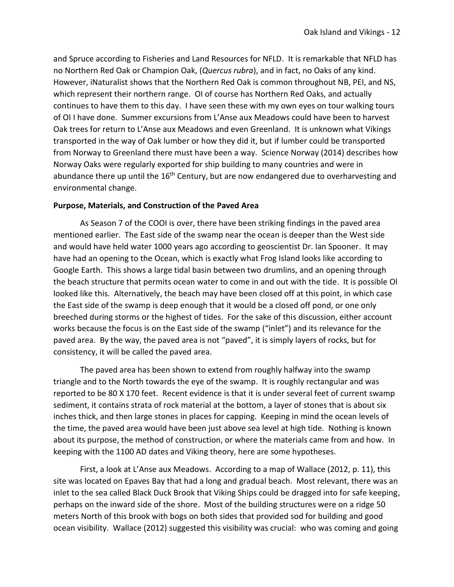and Spruce according to Fisheries and Land Resources for NFLD. It is remarkable that NFLD has no Northern Red Oak or Champion Oak, (*Quercus rubra*), and in fact, no Oaks of any kind. However, iNaturalist shows that the Northern Red Oak is common throughout NB, PEI, and NS, which represent their northern range. OI of course has Northern Red Oaks, and actually continues to have them to this day. I have seen these with my own eyes on tour walking tours of OI I have done. Summer excursions from L'Anse aux Meadows could have been to harvest Oak trees for return to L'Anse aux Meadows and even Greenland. It is unknown what Vikings transported in the way of Oak lumber or how they did it, but if lumber could be transported from Norway to Greenland there must have been a way. Science Norway (2014) describes how Norway Oaks were regularly exported for ship building to many countries and were in abundance there up until the  $16<sup>th</sup>$  Century, but are now endangered due to overharvesting and environmental change.

#### **Purpose, Materials, and Construction of the Paved Area**

As Season 7 of the COOI is over, there have been striking findings in the paved area mentioned earlier. The East side of the swamp near the ocean is deeper than the West side and would have held water 1000 years ago according to geoscientist Dr. Ian Spooner. It may have had an opening to the Ocean, which is exactly what Frog Island looks like according to Google Earth. This shows a large tidal basin between two drumlins, and an opening through the beach structure that permits ocean water to come in and out with the tide. It is possible Ol looked like this. Alternatively, the beach may have been closed off at this point, in which case the East side of the swamp is deep enough that it would be a closed off pond, or one only breeched during storms or the highest of tides. For the sake of this discussion, either account works because the focus is on the East side of the swamp ("inlet") and its relevance for the paved area. By the way, the paved area is not "paved", it is simply layers of rocks, but for consistency, it will be called the paved area.

The paved area has been shown to extend from roughly halfway into the swamp triangle and to the North towards the eye of the swamp. It is roughly rectangular and was reported to be 80 X 170 feet. Recent evidence is that it is under several feet of current swamp sediment, it contains strata of rock material at the bottom, a layer of stones that is about six inches thick, and then large stones in places for capping. Keeping in mind the ocean levels of the time, the paved area would have been just above sea level at high tide. Nothing is known about its purpose, the method of construction, or where the materials came from and how. In keeping with the 1100 AD dates and Viking theory, here are some hypotheses.

First, a look at L'Anse aux Meadows. According to a map of Wallace (2012, p. 11), this site was located on Epaves Bay that had a long and gradual beach. Most relevant, there was an inlet to the sea called Black Duck Brook that Viking Ships could be dragged into for safe keeping, perhaps on the inward side of the shore. Most of the building structures were on a ridge 50 meters North of this brook with bogs on both sides that provided sod for building and good ocean visibility. Wallace (2012) suggested this visibility was crucial: who was coming and going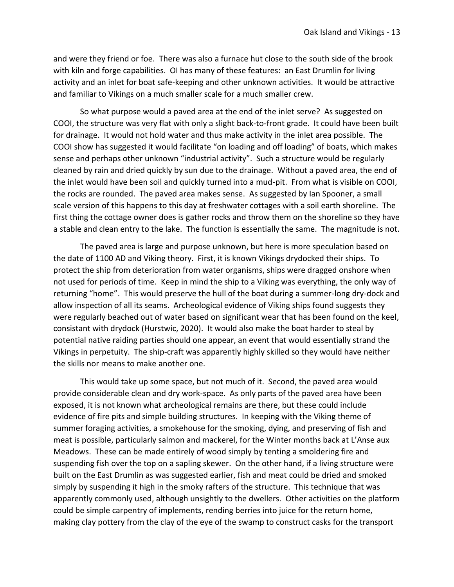and were they friend or foe. There was also a furnace hut close to the south side of the brook with kiln and forge capabilities. OI has many of these features: an East Drumlin for living activity and an inlet for boat safe-keeping and other unknown activities. It would be attractive and familiar to Vikings on a much smaller scale for a much smaller crew.

So what purpose would a paved area at the end of the inlet serve? As suggested on COOI, the structure was very flat with only a slight back-to-front grade. It could have been built for drainage. It would not hold water and thus make activity in the inlet area possible. The COOI show has suggested it would facilitate "on loading and off loading" of boats, which makes sense and perhaps other unknown "industrial activity". Such a structure would be regularly cleaned by rain and dried quickly by sun due to the drainage. Without a paved area, the end of the inlet would have been soil and quickly turned into a mud-pit. From what is visible on COOI, the rocks are rounded. The paved area makes sense. As suggested by Ian Spooner, a small scale version of this happens to this day at freshwater cottages with a soil earth shoreline. The first thing the cottage owner does is gather rocks and throw them on the shoreline so they have a stable and clean entry to the lake. The function is essentially the same. The magnitude is not.

The paved area is large and purpose unknown, but here is more speculation based on the date of 1100 AD and Viking theory. First, it is known Vikings drydocked their ships. To protect the ship from deterioration from water organisms, ships were dragged onshore when not used for periods of time. Keep in mind the ship to a Viking was everything, the only way of returning "home". This would preserve the hull of the boat during a summer-long dry-dock and allow inspection of all its seams. Archeological evidence of Viking ships found suggests they were regularly beached out of water based on significant wear that has been found on the keel, consistant with drydock (Hurstwic, 2020). It would also make the boat harder to steal by potential native raiding parties should one appear, an event that would essentially strand the Vikings in perpetuity. The ship-craft was apparently highly skilled so they would have neither the skills nor means to make another one.

This would take up some space, but not much of it. Second, the paved area would provide considerable clean and dry work-space. As only parts of the paved area have been exposed, it is not known what archeological remains are there, but these could include evidence of fire pits and simple building structures. In keeping with the Viking theme of summer foraging activities, a smokehouse for the smoking, dying, and preserving of fish and meat is possible, particularly salmon and mackerel, for the Winter months back at L'Anse aux Meadows. These can be made entirely of wood simply by tenting a smoldering fire and suspending fish over the top on a sapling skewer. On the other hand, if a living structure were built on the East Drumlin as was suggested earlier, fish and meat could be dried and smoked simply by suspending it high in the smoky rafters of the structure. This technique that was apparently commonly used, although unsightly to the dwellers. Other activities on the platform could be simple carpentry of implements, rending berries into juice for the return home, making clay pottery from the clay of the eye of the swamp to construct casks for the transport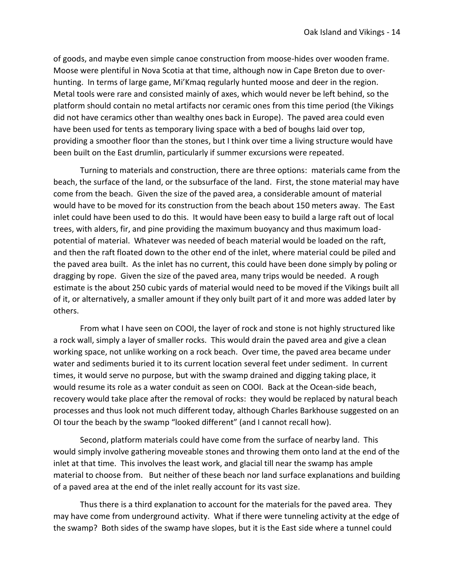of goods, and maybe even simple canoe construction from moose-hides over wooden frame. Moose were plentiful in Nova Scotia at that time, although now in Cape Breton due to overhunting. In terms of large game, Mi'Kmaq regularly hunted moose and deer in the region. Metal tools were rare and consisted mainly of axes, which would never be left behind, so the platform should contain no metal artifacts nor ceramic ones from this time period (the Vikings did not have ceramics other than wealthy ones back in Europe). The paved area could even have been used for tents as temporary living space with a bed of boughs laid over top, providing a smoother floor than the stones, but I think over time a living structure would have been built on the East drumlin, particularly if summer excursions were repeated.

Turning to materials and construction, there are three options: materials came from the beach, the surface of the land, or the subsurface of the land. First, the stone material may have come from the beach. Given the size of the paved area, a considerable amount of material would have to be moved for its construction from the beach about 150 meters away. The East inlet could have been used to do this. It would have been easy to build a large raft out of local trees, with alders, fir, and pine providing the maximum buoyancy and thus maximum loadpotential of material. Whatever was needed of beach material would be loaded on the raft, and then the raft floated down to the other end of the inlet, where material could be piled and the paved area built. As the inlet has no current, this could have been done simply by poling or dragging by rope. Given the size of the paved area, many trips would be needed. A rough estimate is the about 250 cubic yards of material would need to be moved if the Vikings built all of it, or alternatively, a smaller amount if they only built part of it and more was added later by others.

From what I have seen on COOI, the layer of rock and stone is not highly structured like a rock wall, simply a layer of smaller rocks. This would drain the paved area and give a clean working space, not unlike working on a rock beach. Over time, the paved area became under water and sediments buried it to its current location several feet under sediment. In current times, it would serve no purpose, but with the swamp drained and digging taking place, it would resume its role as a water conduit as seen on COOI. Back at the Ocean-side beach, recovery would take place after the removal of rocks: they would be replaced by natural beach processes and thus look not much different today, although Charles Barkhouse suggested on an OI tour the beach by the swamp "looked different" (and I cannot recall how).

Second, platform materials could have come from the surface of nearby land. This would simply involve gathering moveable stones and throwing them onto land at the end of the inlet at that time. This involves the least work, and glacial till near the swamp has ample material to choose from. But neither of these beach nor land surface explanations and building of a paved area at the end of the inlet really account for its vast size.

Thus there is a third explanation to account for the materials for the paved area. They may have come from underground activity. What if there were tunneling activity at the edge of the swamp? Both sides of the swamp have slopes, but it is the East side where a tunnel could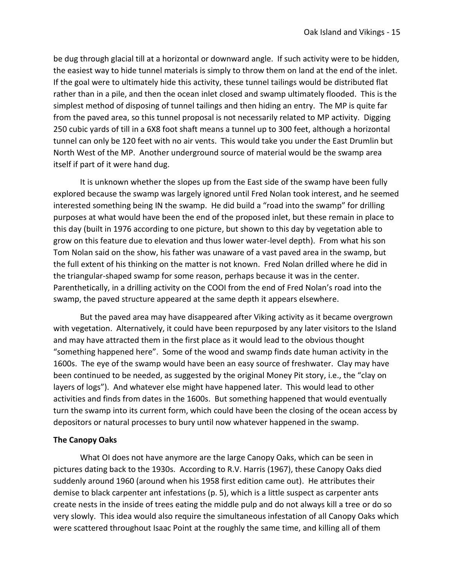be dug through glacial till at a horizontal or downward angle. If such activity were to be hidden, the easiest way to hide tunnel materials is simply to throw them on land at the end of the inlet. If the goal were to ultimately hide this activity, these tunnel tailings would be distributed flat rather than in a pile, and then the ocean inlet closed and swamp ultimately flooded. This is the simplest method of disposing of tunnel tailings and then hiding an entry. The MP is quite far from the paved area, so this tunnel proposal is not necessarily related to MP activity. Digging 250 cubic yards of till in a 6X8 foot shaft means a tunnel up to 300 feet, although a horizontal tunnel can only be 120 feet with no air vents. This would take you under the East Drumlin but North West of the MP. Another underground source of material would be the swamp area itself if part of it were hand dug.

It is unknown whether the slopes up from the East side of the swamp have been fully explored because the swamp was largely ignored until Fred Nolan took interest, and he seemed interested something being IN the swamp. He did build a "road into the swamp" for drilling purposes at what would have been the end of the proposed inlet, but these remain in place to this day (built in 1976 according to one picture, but shown to this day by vegetation able to grow on this feature due to elevation and thus lower water-level depth). From what his son Tom Nolan said on the show, his father was unaware of a vast paved area in the swamp, but the full extent of his thinking on the matter is not known. Fred Nolan drilled where he did in the triangular-shaped swamp for some reason, perhaps because it was in the center. Parenthetically, in a drilling activity on the COOI from the end of Fred Nolan's road into the swamp, the paved structure appeared at the same depth it appears elsewhere.

But the paved area may have disappeared after Viking activity as it became overgrown with vegetation. Alternatively, it could have been repurposed by any later visitors to the Island and may have attracted them in the first place as it would lead to the obvious thought "something happened here". Some of the wood and swamp finds date human activity in the 1600s. The eye of the swamp would have been an easy source of freshwater. Clay may have been continued to be needed, as suggested by the original Money Pit story, i.e., the "clay on layers of logs"). And whatever else might have happened later. This would lead to other activities and finds from dates in the 1600s. But something happened that would eventually turn the swamp into its current form, which could have been the closing of the ocean access by depositors or natural processes to bury until now whatever happened in the swamp.

# **The Canopy Oaks**

What OI does not have anymore are the large Canopy Oaks, which can be seen in pictures dating back to the 1930s. According to R.V. Harris (1967), these Canopy Oaks died suddenly around 1960 (around when his 1958 first edition came out). He attributes their demise to black carpenter ant infestations (p. 5), which is a little suspect as carpenter ants create nests in the inside of trees eating the middle pulp and do not always kill a tree or do so very slowly. This idea would also require the simultaneous infestation of all Canopy Oaks which were scattered throughout Isaac Point at the roughly the same time, and killing all of them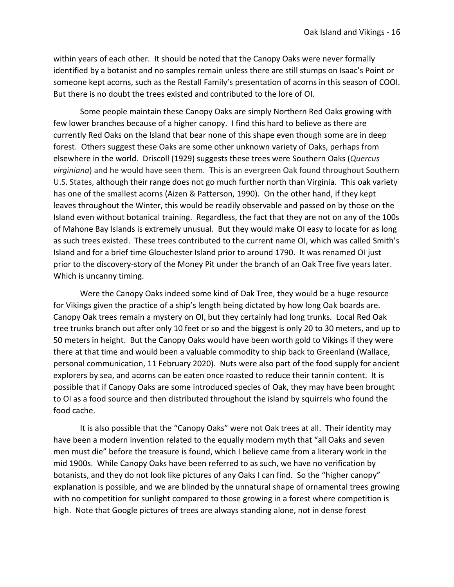within years of each other. It should be noted that the Canopy Oaks were never formally identified by a botanist and no samples remain unless there are still stumps on Isaac's Point or someone kept acorns, such as the Restall Family's presentation of acorns in this season of COOI. But there is no doubt the trees existed and contributed to the lore of OI.

Some people maintain these Canopy Oaks are simply Northern Red Oaks growing with few lower branches because of a higher canopy. I find this hard to believe as there are currently Red Oaks on the Island that bear none of this shape even though some are in deep forest. Others suggest these Oaks are some other unknown variety of Oaks, perhaps from elsewhere in the world. Driscoll (1929) suggests these trees were Southern Oaks (*Quercus virginiana*) and he would have seen them*.* This is an evergreen Oak found throughout Southern U.S. States, although their range does not go much further north than Virginia. This oak variety has one of the smallest acorns (Aizen & Patterson, 1990). On the other hand, if they kept leaves throughout the Winter, this would be readily observable and passed on by those on the Island even without botanical training. Regardless, the fact that they are not on any of the 100s of Mahone Bay Islands is extremely unusual. But they would make OI easy to locate for as long as such trees existed. These trees contributed to the current name OI, which was called Smith's Island and for a brief time Glouchester Island prior to around 1790. It was renamed OI just prior to the discovery-story of the Money Pit under the branch of an Oak Tree five years later. Which is uncanny timing.

Were the Canopy Oaks indeed some kind of Oak Tree, they would be a huge resource for Vikings given the practice of a ship's length being dictated by how long Oak boards are. Canopy Oak trees remain a mystery on OI, but they certainly had long trunks. Local Red Oak tree trunks branch out after only 10 feet or so and the biggest is only 20 to 30 meters, and up to 50 meters in height. But the Canopy Oaks would have been worth gold to Vikings if they were there at that time and would been a valuable commodity to ship back to Greenland (Wallace, personal communication, 11 February 2020). Nuts were also part of the food supply for ancient explorers by sea, and acorns can be eaten once roasted to reduce their tannin content. It is possible that if Canopy Oaks are some introduced species of Oak, they may have been brought to OI as a food source and then distributed throughout the island by squirrels who found the food cache.

It is also possible that the "Canopy Oaks" were not Oak trees at all. Their identity may have been a modern invention related to the equally modern myth that "all Oaks and seven men must die" before the treasure is found, which I believe came from a literary work in the mid 1900s. While Canopy Oaks have been referred to as such, we have no verification by botanists, and they do not look like pictures of any Oaks I can find. So the "higher canopy" explanation is possible, and we are blinded by the unnatural shape of ornamental trees growing with no competition for sunlight compared to those growing in a forest where competition is high. Note that Google pictures of trees are always standing alone, not in dense forest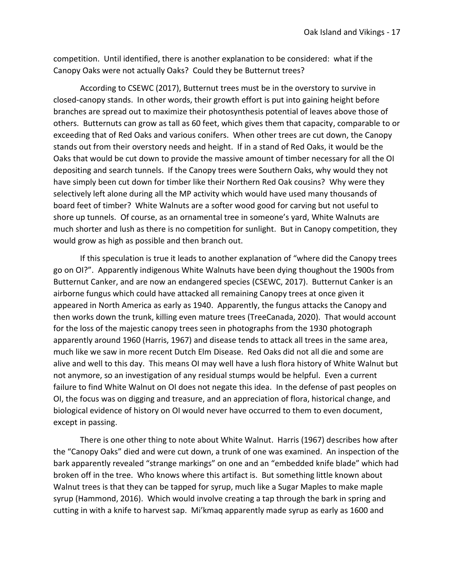competition. Until identified, there is another explanation to be considered: what if the Canopy Oaks were not actually Oaks? Could they be Butternut trees?

According to CSEWC (2017), Butternut trees must be in the overstory to survive in closed-canopy stands. In other words, their growth effort is put into gaining height before branches are spread out to maximize their photosynthesis potential of leaves above those of others. Butternuts can grow as tall as 60 feet, which gives them that capacity, comparable to or exceeding that of Red Oaks and various conifers. When other trees are cut down, the Canopy stands out from their overstory needs and height. If in a stand of Red Oaks, it would be the Oaks that would be cut down to provide the massive amount of timber necessary for all the OI depositing and search tunnels. If the Canopy trees were Southern Oaks, why would they not have simply been cut down for timber like their Northern Red Oak cousins? Why were they selectively left alone during all the MP activity which would have used many thousands of board feet of timber? White Walnuts are a softer wood good for carving but not useful to shore up tunnels. Of course, as an ornamental tree in someone's yard, White Walnuts are much shorter and lush as there is no competition for sunlight. But in Canopy competition, they would grow as high as possible and then branch out.

If this speculation is true it leads to another explanation of "where did the Canopy trees go on OI?". Apparently indigenous White Walnuts have been dying thoughout the 1900s from Butternut Canker, and are now an endangered species (CSEWC, 2017). Butternut Canker is an airborne fungus which could have attacked all remaining Canopy trees at once given it appeared in North America as early as 1940. Apparently, the fungus attacks the Canopy and then works down the trunk, killing even mature trees (TreeCanada, 2020). That would account for the loss of the majestic canopy trees seen in photographs from the 1930 photograph apparently around 1960 (Harris, 1967) and disease tends to attack all trees in the same area, much like we saw in more recent Dutch Elm Disease. Red Oaks did not all die and some are alive and well to this day. This means OI may well have a lush flora history of White Walnut but not anymore, so an investigation of any residual stumps would be helpful. Even a current failure to find White Walnut on OI does not negate this idea. In the defense of past peoples on OI, the focus was on digging and treasure, and an appreciation of flora, historical change, and biological evidence of history on OI would never have occurred to them to even document, except in passing.

There is one other thing to note about White Walnut. Harris (1967) describes how after the "Canopy Oaks" died and were cut down, a trunk of one was examined. An inspection of the bark apparently revealed "strange markings" on one and an "embedded knife blade" which had broken off in the tree. Who knows where this artifact is. But something little known about Walnut trees is that they can be tapped for syrup, much like a Sugar Maples to make maple syrup (Hammond, 2016). Which would involve creating a tap through the bark in spring and cutting in with a knife to harvest sap. Mi'kmaq apparently made syrup as early as 1600 and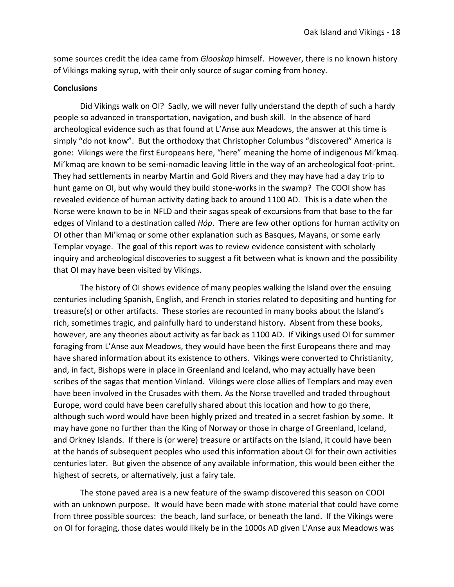some sources credit the idea came from *Glooskap* himself. However, there is no known history of Vikings making syrup, with their only source of sugar coming from honey.

#### **Conclusions**

Did Vikings walk on OI? Sadly, we will never fully understand the depth of such a hardy people so advanced in transportation, navigation, and bush skill. In the absence of hard archeological evidence such as that found at L'Anse aux Meadows, the answer at this time is simply "do not know". But the orthodoxy that Christopher Columbus "discovered" America is gone: Vikings were the first Europeans here, "here" meaning the home of indigenous Mi'kmaq. Mi'kmaq are known to be semi-nomadic leaving little in the way of an archeological foot-print. They had settlements in nearby Martin and Gold Rivers and they may have had a day trip to hunt game on OI, but why would they build stone-works in the swamp? The COOI show has revealed evidence of human activity dating back to around 1100 AD. This is a date when the Norse were known to be in NFLD and their sagas speak of excursions from that base to the far edges of Vinland to a destination called *Hóp*. There are few other options for human activity on OI other than Mi'kmaq or some other explanation such as Basques, Mayans, or some early Templar voyage. The goal of this report was to review evidence consistent with scholarly inquiry and archeological discoveries to suggest a fit between what is known and the possibility that OI may have been visited by Vikings.

The history of OI shows evidence of many peoples walking the Island over the ensuing centuries including Spanish, English, and French in stories related to depositing and hunting for treasure(s) or other artifacts. These stories are recounted in many books about the Island's rich, sometimes tragic, and painfully hard to understand history. Absent from these books, however, are any theories about activity as far back as 1100 AD. If Vikings used OI for summer foraging from L'Anse aux Meadows, they would have been the first Europeans there and may have shared information about its existence to others. Vikings were converted to Christianity, and, in fact, Bishops were in place in Greenland and Iceland, who may actually have been scribes of the sagas that mention Vinland. Vikings were close allies of Templars and may even have been involved in the Crusades with them. As the Norse travelled and traded throughout Europe, word could have been carefully shared about this location and how to go there, although such word would have been highly prized and treated in a secret fashion by some. It may have gone no further than the King of Norway or those in charge of Greenland, Iceland, and Orkney Islands. If there is (or were) treasure or artifacts on the Island, it could have been at the hands of subsequent peoples who used this information about OI for their own activities centuries later. But given the absence of any available information, this would been either the highest of secrets, or alternatively, just a fairy tale.

The stone paved area is a new feature of the swamp discovered this season on COOI with an unknown purpose. It would have been made with stone material that could have come from three possible sources: the beach, land surface, or beneath the land. If the Vikings were on OI for foraging, those dates would likely be in the 1000s AD given L'Anse aux Meadows was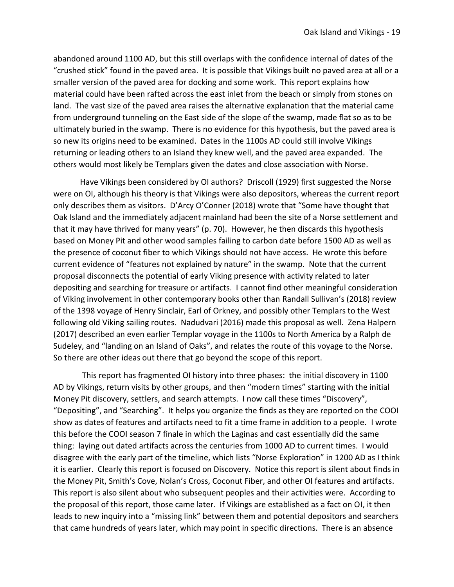abandoned around 1100 AD, but this still overlaps with the confidence internal of dates of the "crushed stick" found in the paved area. It is possible that Vikings built no paved area at all or a smaller version of the paved area for docking and some work. This report explains how material could have been rafted across the east inlet from the beach or simply from stones on land. The vast size of the paved area raises the alternative explanation that the material came from underground tunneling on the East side of the slope of the swamp, made flat so as to be ultimately buried in the swamp. There is no evidence for this hypothesis, but the paved area is so new its origins need to be examined. Dates in the 1100s AD could still involve Vikings returning or leading others to an Island they knew well, and the paved area expanded. The others would most likely be Templars given the dates and close association with Norse.

Have Vikings been considered by OI authors? Driscoll (1929) first suggested the Norse were on OI, although his theory is that Vikings were also depositors, whereas the current report only describes them as visitors. D'Arcy O'Conner (2018) wrote that "Some have thought that Oak Island and the immediately adjacent mainland had been the site of a Norse settlement and that it may have thrived for many years" (p. 70). However, he then discards this hypothesis based on Money Pit and other wood samples failing to carbon date before 1500 AD as well as the presence of coconut fiber to which Vikings should not have access. He wrote this before current evidence of "features not explained by nature" in the swamp. Note that the current proposal disconnects the potential of early Viking presence with activity related to later depositing and searching for treasure or artifacts. I cannot find other meaningful consideration of Viking involvement in other contemporary books other than Randall Sullivan's (2018) review of the 1398 voyage of Henry Sinclair, Earl of Orkney, and possibly other Templars to the West following old Viking sailing routes. Nadudvari (2016) made this proposal as well. Zena Halpern (2017) described an even earlier Templar voyage in the 1100s to North America by a Ralph de Sudeley, and "landing on an Island of Oaks", and relates the route of this voyage to the Norse. So there are other ideas out there that go beyond the scope of this report.

This report has fragmented OI history into three phases: the initial discovery in 1100 AD by Vikings, return visits by other groups, and then "modern times" starting with the initial Money Pit discovery, settlers, and search attempts. I now call these times "Discovery", "Depositing", and "Searching". It helps you organize the finds as they are reported on the COOI show as dates of features and artifacts need to fit a time frame in addition to a people. I wrote this before the COOI season 7 finale in which the Laginas and cast essentially did the same thing: laying out dated artifacts across the centuries from 1000 AD to current times. I would disagree with the early part of the timeline, which lists "Norse Exploration" in 1200 AD as I think it is earlier. Clearly this report is focused on Discovery. Notice this report is silent about finds in the Money Pit, Smith's Cove, Nolan's Cross, Coconut Fiber, and other OI features and artifacts. This report is also silent about who subsequent peoples and their activities were. According to the proposal of this report, those came later. If Vikings are established as a fact on OI, it then leads to new inquiry into a "missing link" between them and potential depositors and searchers that came hundreds of years later, which may point in specific directions. There is an absence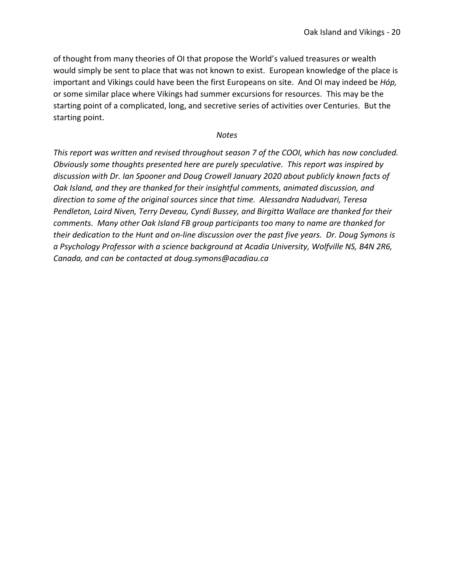of thought from many theories of OI that propose the World's valued treasures or wealth would simply be sent to place that was not known to exist. European knowledge of the place is important and Vikings could have been the first Europeans on site. And OI may indeed be *Hóp,*  or some similar place where Vikings had summer excursions for resources. This may be the starting point of a complicated, long, and secretive series of activities over Centuries. But the starting point.

#### *Notes*

*This report was written and revised throughout season 7 of the COOI, which has now concluded. Obviously some thoughts presented here are purely speculative. This report was inspired by discussion with Dr. Ian Spooner and Doug Crowell January 2020 about publicly known facts of Oak Island, and they are thanked for their insightful comments, animated discussion, and direction to some of the original sources since that time. Alessandra Nadudvari, Teresa Pendleton, Laird Niven, Terry Deveau, Cyndi Bussey, and Birgitta Wallace are thanked for their comments. Many other Oak Island FB group participants too many to name are thanked for their dedication to the Hunt and on-line discussion over the past five years. Dr. Doug Symons is a Psychology Professor with a science background at Acadia University, Wolfville NS, B4N 2R6, Canada, and can be contacted at doug.symons@acadiau.ca*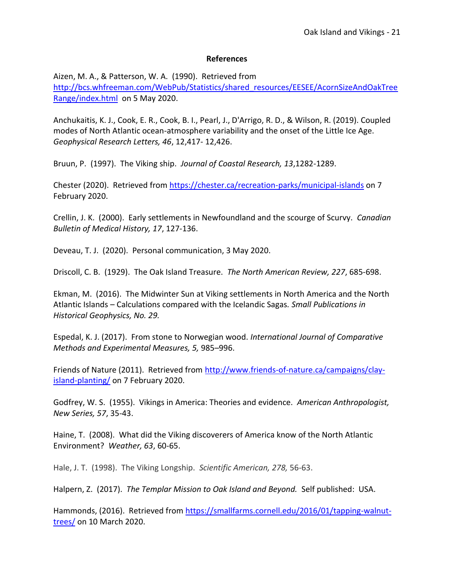## **References**

Aizen, M. A., & Patterson, W. A. (1990). Retrieved from [http://bcs.whfreeman.com/WebPub/Statistics/shared\\_resources/EESEE/AcornSizeAndOakTree](http://bcs.whfreeman.com/WebPub/Statistics/shared_resources/EESEE/AcornSizeAndOakTreeRange/index.html) [Range/index.html](http://bcs.whfreeman.com/WebPub/Statistics/shared_resources/EESEE/AcornSizeAndOakTreeRange/index.html) on 5 May 2020.

Anchukaitis, K. J., Cook, E. R., Cook, B. I., Pearl, J., D'Arrigo, R. D., & Wilson, R. (2019). Coupled modes of North Atlantic ocean-atmosphere variability and the onset of the Little Ice Age. *Geophysical Research Letters, 46*, 12,417- 12,426.

Bruun, P. (1997). The Viking ship. *Journal of Coastal Research, 13*,1282-1289.

Chester (2020). Retrieved from<https://chester.ca/recreation-parks/municipal-islands> on 7 February 2020.

Crellin, J. K. (2000). Early settlements in Newfoundland and the scourge of Scurvy. *Canadian Bulletin of Medical History, 17*, 127-136.

Deveau, T. J. (2020). Personal communication, 3 May 2020.

Driscoll, C. B. (1929). The Oak Island Treasure. *The North American Review, 227*, 685-698.

Ekman, M. (2016). The Midwinter Sun at Viking settlements in North America and the North Atlantic Islands – Calculations compared with the Icelandic Sagas*. Small Publications in Historical Geophysics, No. 29.*

Espedal, K. J. (2017). From stone to Norwegian wood. *International Journal of Comparative Methods and Experimental Measures, 5,* 985–996.

Friends of Nature (2011). Retrieved from [http://www.friends-of-nature.ca/campaigns/clay](http://www.friends-of-nature.ca/campaigns/clay-island-planting/)[island-planting/](http://www.friends-of-nature.ca/campaigns/clay-island-planting/) on 7 February 2020.

Godfrey, W. S. (1955). Vikings in America: Theories and evidence. *American Anthropologist, New Series, 57*, 35-43.

Haine, T. (2008). What did the Viking discoverers of America know of the North Atlantic Environment? *Weather, 63*, 60-65.

Hale, J. T. (1998). The Viking Longship. *Scientific American, 278,* 56-63.

Halpern, Z. (2017). *The Templar Mission to Oak Island and Beyond.* Self published: USA.

Hammonds, (2016). Retrieved from [https://smallfarms.cornell.edu/2016/01/tapping-walnut](https://smallfarms.cornell.edu/2016/01/tapping-walnut-trees/)[trees/](https://smallfarms.cornell.edu/2016/01/tapping-walnut-trees/) on 10 March 2020.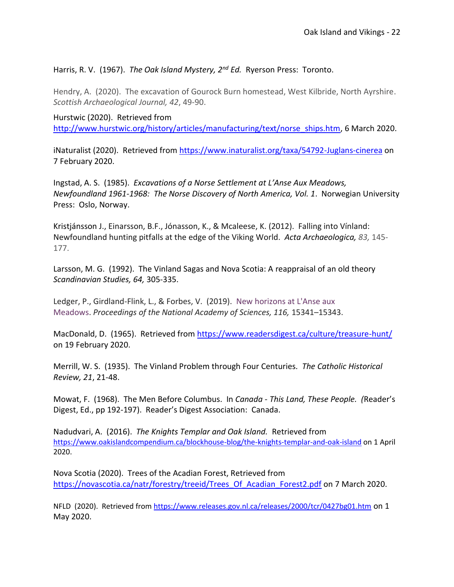# Harris, R. V. (1967). *The Oak Island Mystery, 2nd Ed.* Ryerson Press: Toronto.

Hendry, A. (2020). The excavation of Gourock Burn homestead, West Kilbride, North Ayrshire. *Scottish Archaeological Journal, 42*, 49-90.

Hurstwic (2020). Retrieved from [http://www.hurstwic.org/history/articles/manufacturing/text/norse\\_ships.htm,](http://www.hurstwic.org/history/articles/manufacturing/text/norse_ships.htm) 6 March 2020.

iNaturalist (2020). Retrieved from<https://www.inaturalist.org/taxa/54792-Juglans-cinerea> on 7 February 2020.

Ingstad, A. S. (1985). *Excavations of a Norse Settlement at L'Anse Aux Meadows, Newfoundland 1961-1968: The Norse Discovery of North America, Vol. 1*. Norwegian University Press: Oslo, Norway.

Kristjánsson J., Einarsson, B.F., Jónasson, K., & Mcaleese, K. (2012). Falling into Vínland: Newfoundland hunting pitfalls at the edge of the Viking World. *Acta [Archaeologica,](https://www.researchgate.net/journal/0001-5210_Acta_Archaeologica) 83,* 145- 177.

Larsson, M. [G. \(1992\). T](https://search-proquest-com.ezproxy.acadiau.ca:9443/indexinglinkhandler/sng/au/Larsson,+Mats+G/$N?accountid=8172)he Vinland Sagas and Nova Scotia: A reappraisal of an old theory *[Scandinavian Studies,](https://search-proquest-com.ezproxy.acadiau.ca:9443/pubidlinkhandler/sng/pubtitle/Scandinavian+Studies/$N/1816647/PagePdf/1296918231/fulltextPDF/2FBECC03C2E14120PQ/1?accountid=8172) 64,* 305-335.

Ledger, P., Girdland-Flink, L., & Forbes, V. (2019). [New horizons at L'Anse aux](https://www.ncbi.nlm.nih.gov/pmc/articles/PMC6681721)  [Meadows.](https://www.ncbi.nlm.nih.gov/pmc/articles/PMC6681721) *Proceedings of the National Academy of Sciences, 116, 15341–15343.* 

MacDonald, D. (1965). Retrieved from<https://www.readersdigest.ca/culture/treasure-hunt/> on 19 February 2020.

Merrill, W. S. (1935). The Vinland Problem through Four Centuries*. The Catholic Historical Review, 21*, 21-48.

Mowat, F. (1968). The Men Before Columbus. In *Canada - This Land, These People. (*Reader's Digest, Ed., pp 192-197). Reader's Digest Association: Canada.

Nadudvari, A. (2016). *The Knights Templar and Oak Island.* Retrieved from <https://www.oakislandcompendium.ca/blockhouse-blog/the-knights-templar-and-oak-island> on 1 April 2020.

Nova Scotia (2020). Trees of the Acadian Forest, Retrieved from [https://novascotia.ca/natr/forestry/treeid/Trees\\_Of\\_Acadian\\_Forest2.pdf](https://novascotia.ca/natr/forestry/treeid/Trees_Of_Acadian_Forest2.pdf) on 7 March 2020.

NFLD (2020). Retrieved from<https://www.releases.gov.nl.ca/releases/2000/tcr/0427bg01.htm> on 1 May 2020.